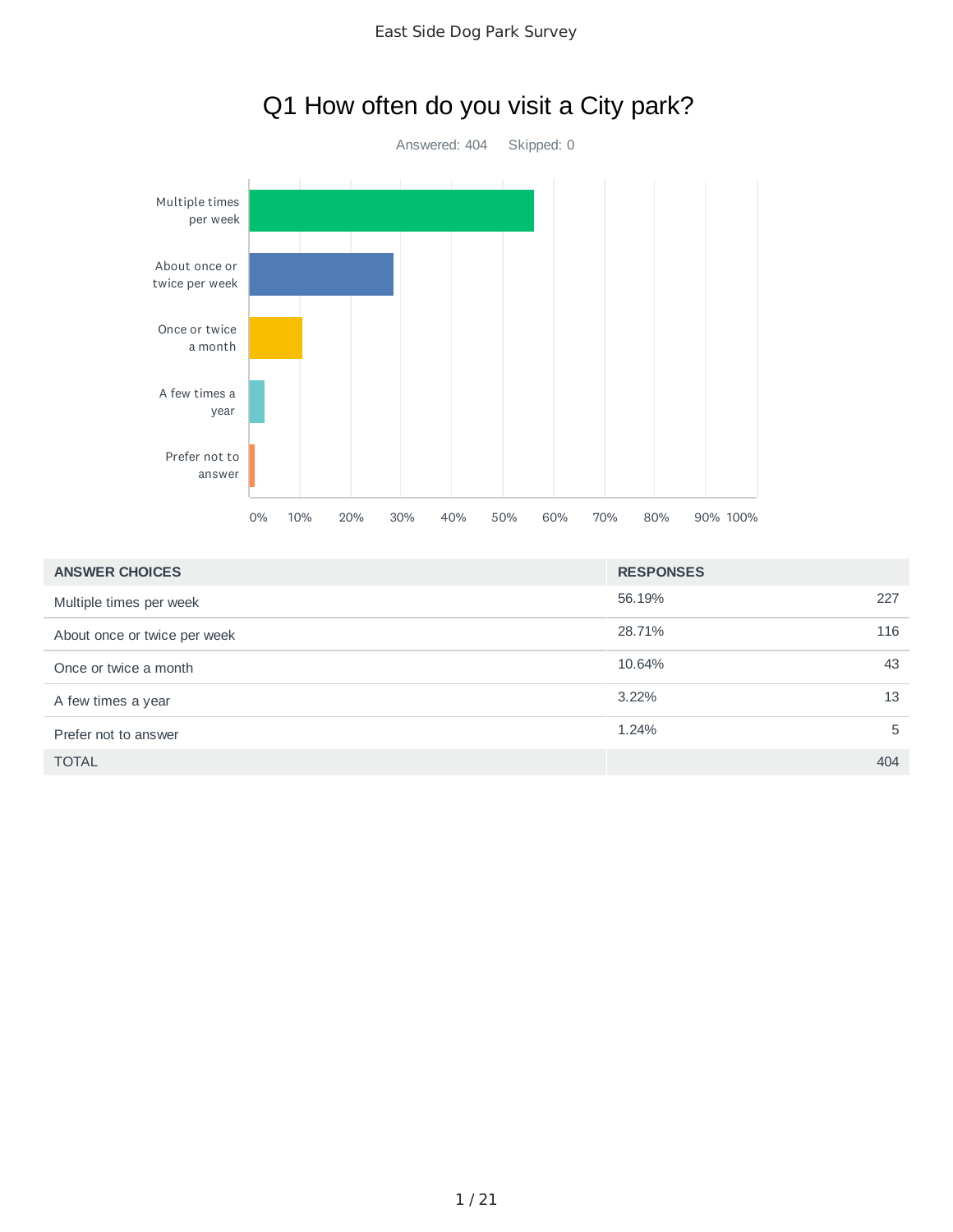



# Q1 How often do you visit a City park?

| <b>ANSWER CHOICES</b>        | <b>RESPONSES</b> |
|------------------------------|------------------|
| Multiple times per week      | 56.19%<br>227    |
| About once or twice per week | 28.71%<br>116    |
| Once or twice a month        | 10.64%<br>43     |
| A few times a year           | $3.22\%$<br>13   |
| Prefer not to answer         | 1.24%<br>5       |
| <b>TOTAL</b>                 | 404              |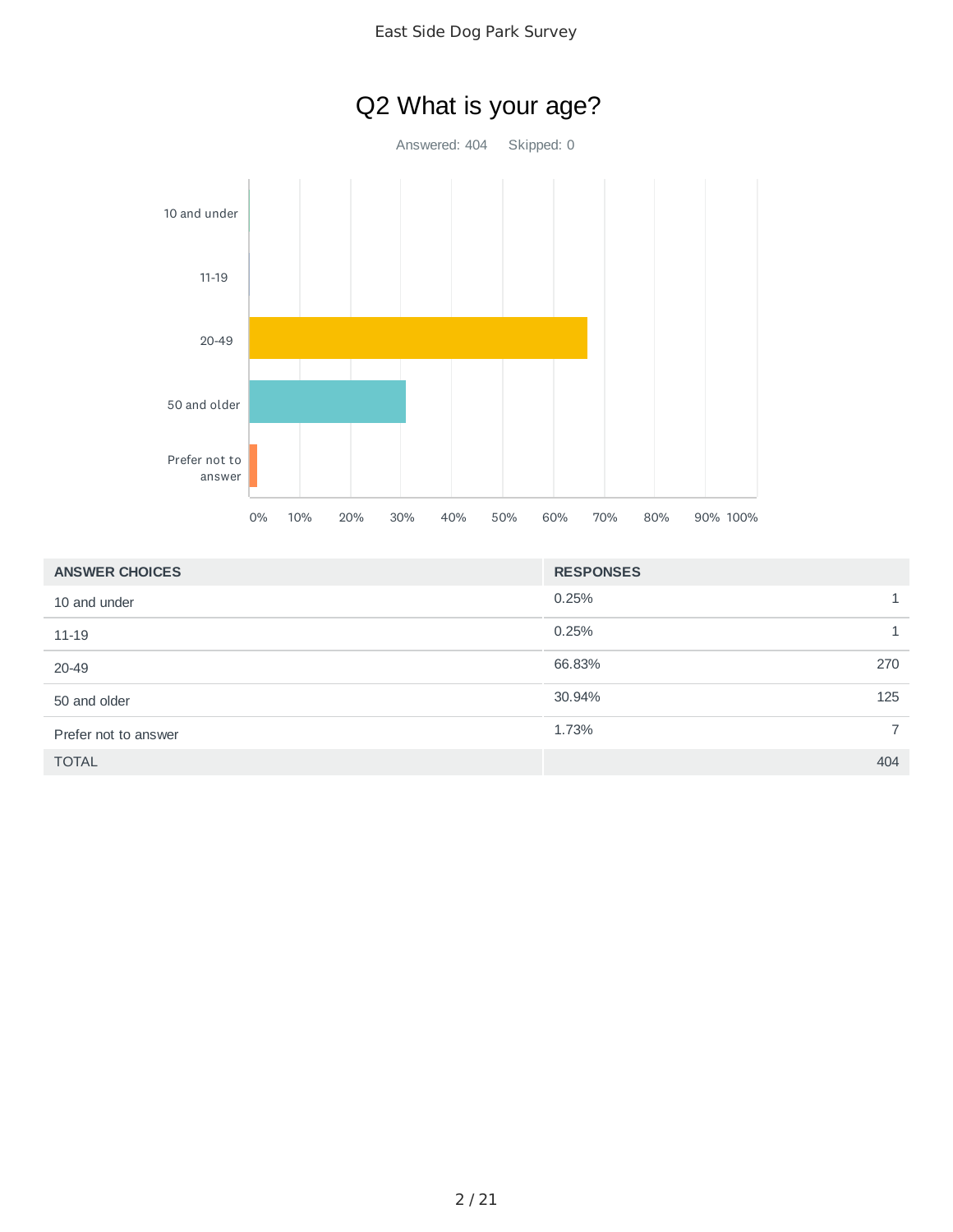

# Q2 What is your age?

Answered: 404 Skipped: 0



| <b>ANSWER CHOICES</b> | <b>RESPONSES</b> |
|-----------------------|------------------|
| 10 and under          | 0.25%            |
| 11-19                 | 0.25%            |
| 20-49                 | 66.83%<br>270    |
| 50 and older          | 30.94%<br>125    |
| Prefer not to answer  | 1.73%            |
| <b>TOTAL</b>          | 404              |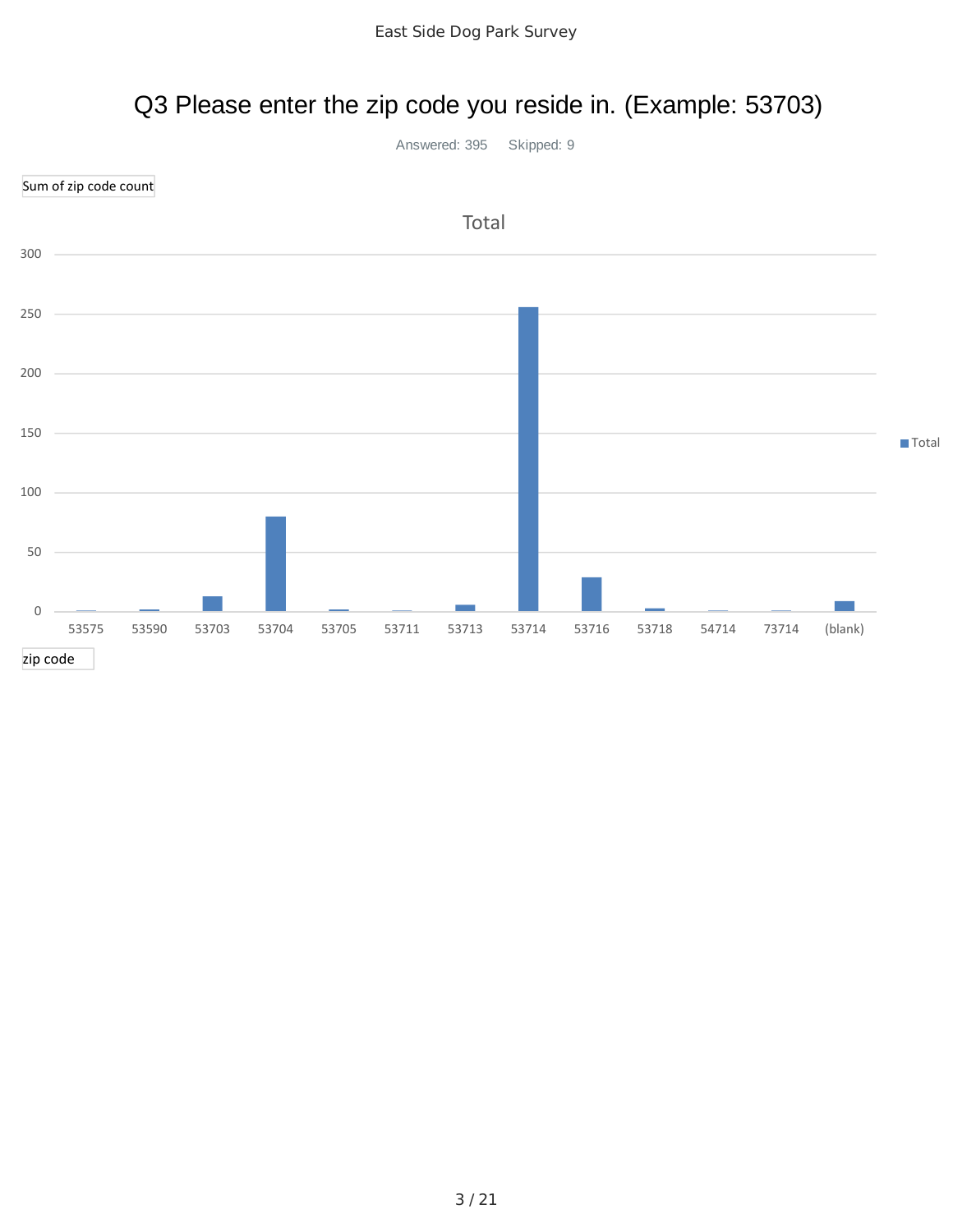## Q3 Please enter the zip code you reside in. (Example: 53703)

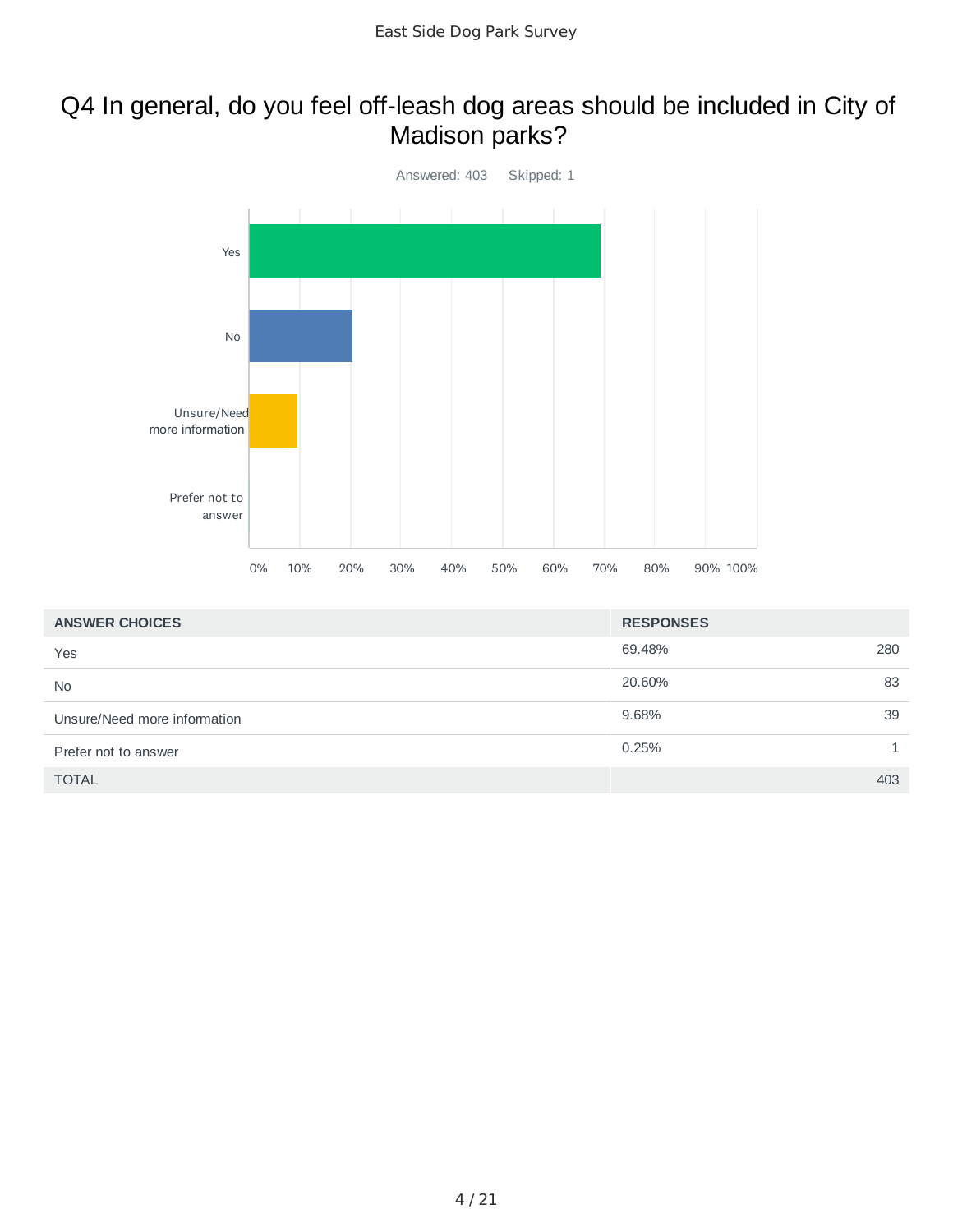### Q4 In general, do you feel off-leash dog areas should be included in City of Madison parks?



| <b>ANSWER CHOICES</b>        | <b>RESPONSES</b> |     |
|------------------------------|------------------|-----|
| Yes                          | 69.48%           | 280 |
| <b>No</b>                    | 20.60%           | 83  |
| Unsure/Need more information | 9.68%            | 39  |
| Prefer not to answer         | 0.25%            |     |
| <b>TOTAL</b>                 |                  | 403 |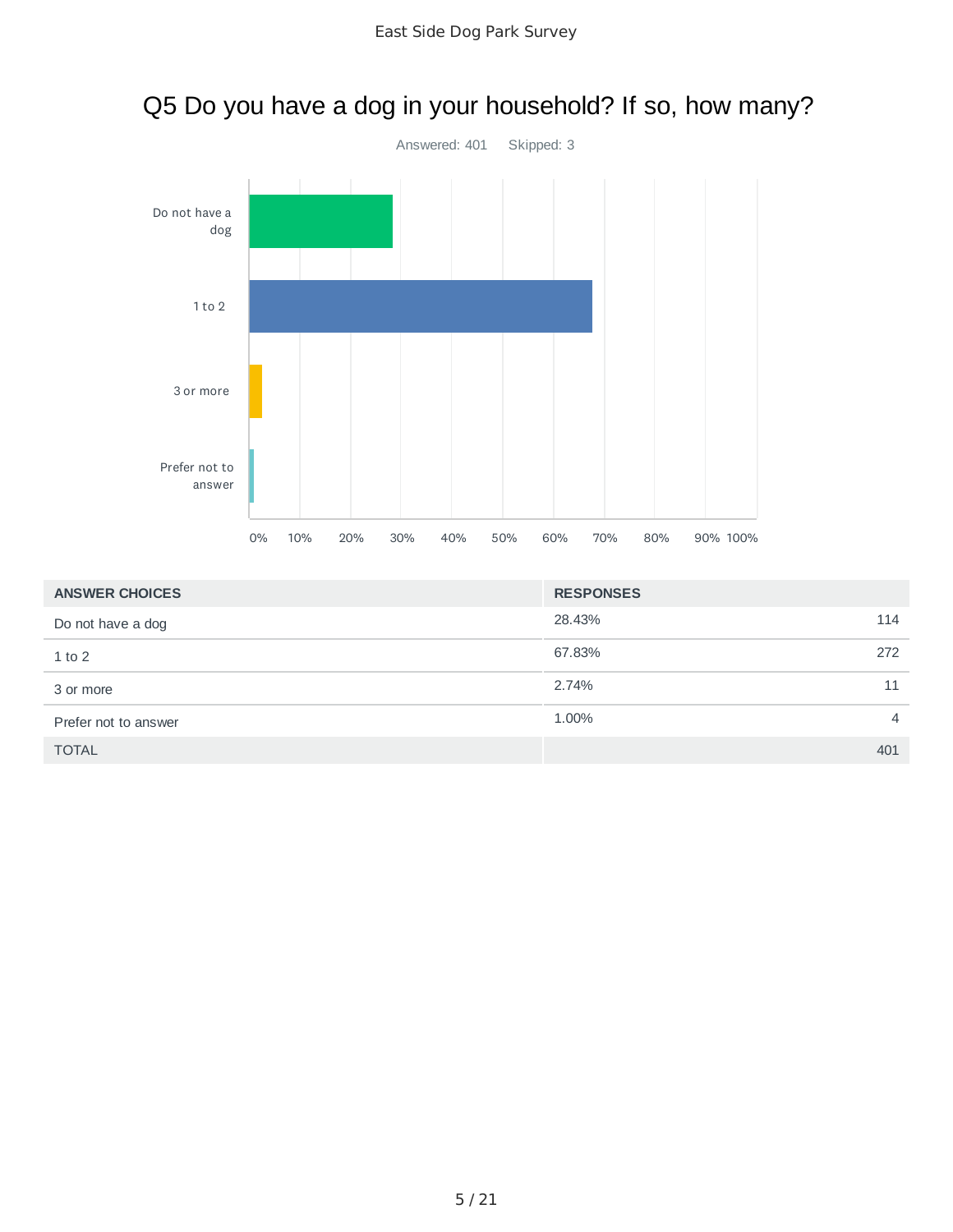

| Q5 Do you have a dog in your household? If so, how many? |  |
|----------------------------------------------------------|--|
|                                                          |  |

| <b>ANSWER CHOICES</b> | <b>RESPONSES</b>        |
|-----------------------|-------------------------|
| Do not have a dog     | 28.43%<br>114           |
| $1$ to $2$            | 67.83%<br>272           |
| 3 or more             | 2.74%<br>11             |
| Prefer not to answer  | 1.00%<br>$\overline{4}$ |
| <b>TOTAL</b>          | 401                     |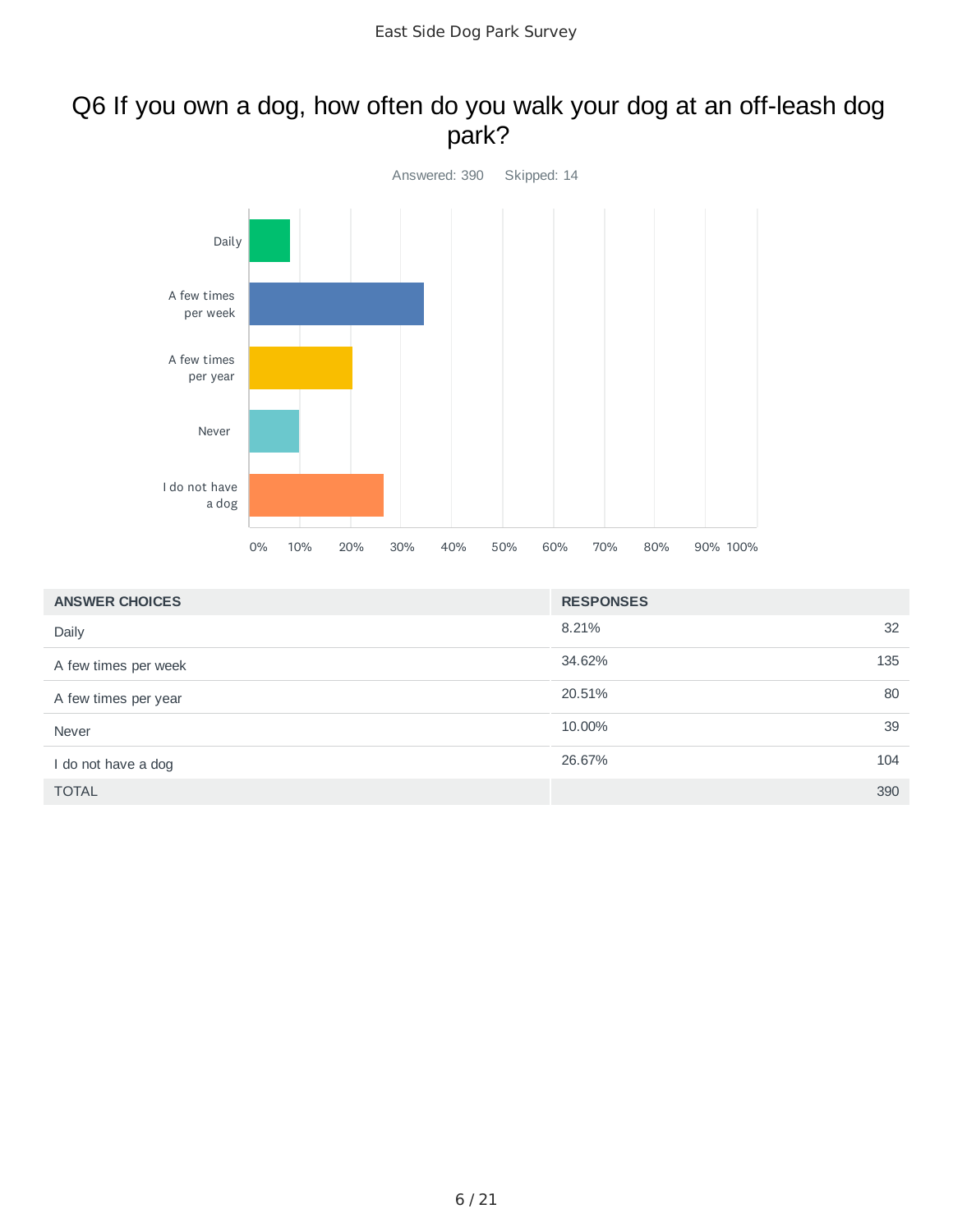#### Q6 If you own a dog, how often do you walk your dog at an off-leash dog park?



| <b>ANSWER CHOICES</b> | <b>RESPONSES</b> |    |
|-----------------------|------------------|----|
| Daily                 | 8.21%            | 32 |
| A few times per week  | 135<br>34.62%    |    |
| A few times per year  | 20.51%           | 80 |
| Never                 | 10.00%           | 39 |
| I do not have a dog   | 26.67%<br>104    |    |
| <b>TOTAL</b>          | 390              |    |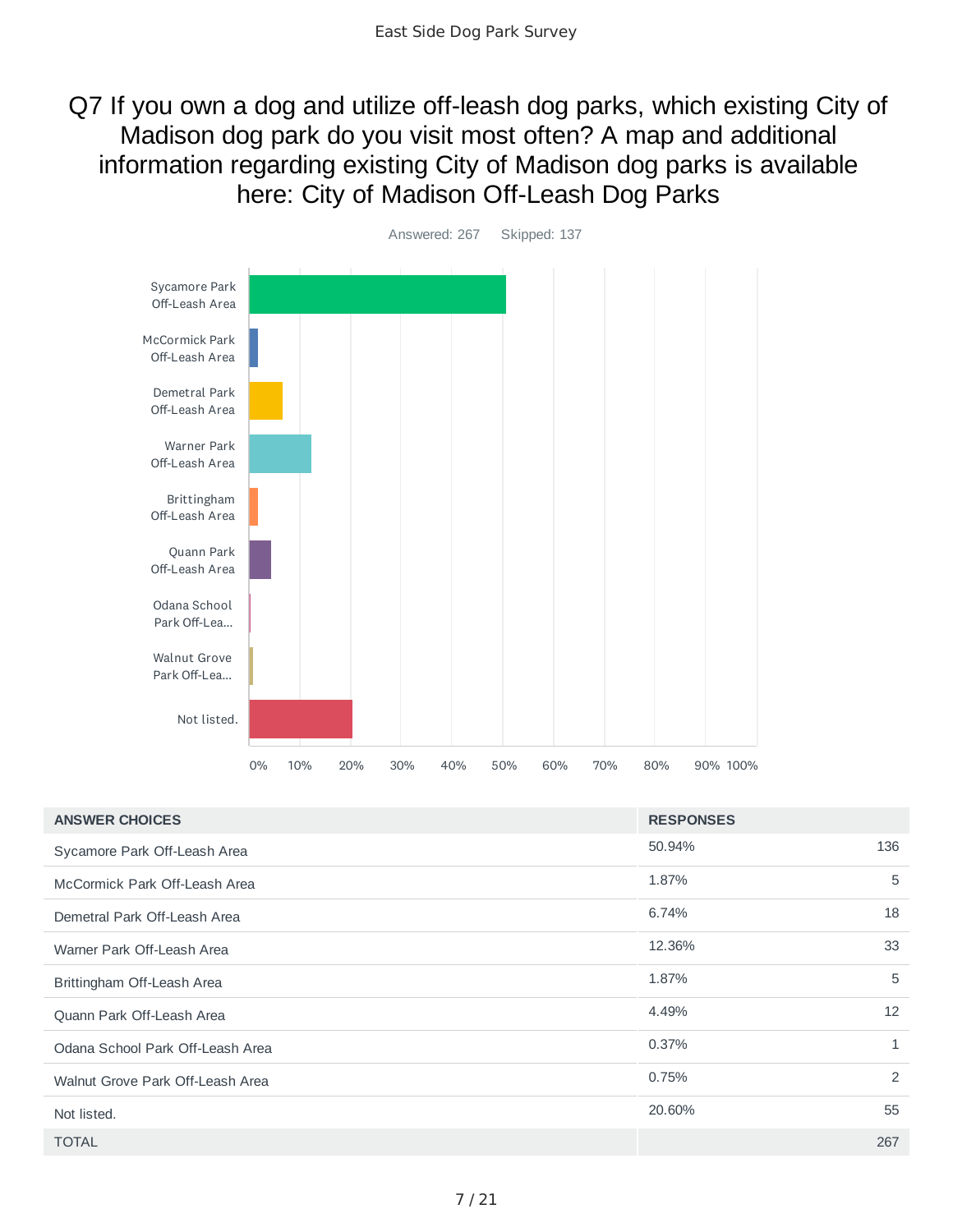Q7 If you own a dog and utilize off-leash dog parks, which existing City of Madison dog park do you visit most often? A map and additional information regarding existing City of Madison dog parks is available here: City of Madison Off-Leash Dog Parks



| <b>ANSWER CHOICES</b>            | <b>RESPONSES</b> |              |
|----------------------------------|------------------|--------------|
| Sycamore Park Off-Leash Area     | 50.94%           | 136          |
| McCormick Park Off-Leash Area    | 1.87%            | 5            |
| Demetral Park Off-Leash Area     | 6.74%            | 18           |
| Warner Park Off-Leash Area       | 12.36%           | 33           |
| Brittingham Off-Leash Area       | 1.87%            | 5            |
| Quann Park Off-Leash Area        | 4.49%            | 12           |
| Odana School Park Off-Leash Area | 0.37%            | $\mathbf{1}$ |
| Walnut Grove Park Off-Leash Area | 0.75%            | 2            |
| Not listed.                      | 20.60%           | 55           |
| <b>TOTAL</b>                     |                  | 267          |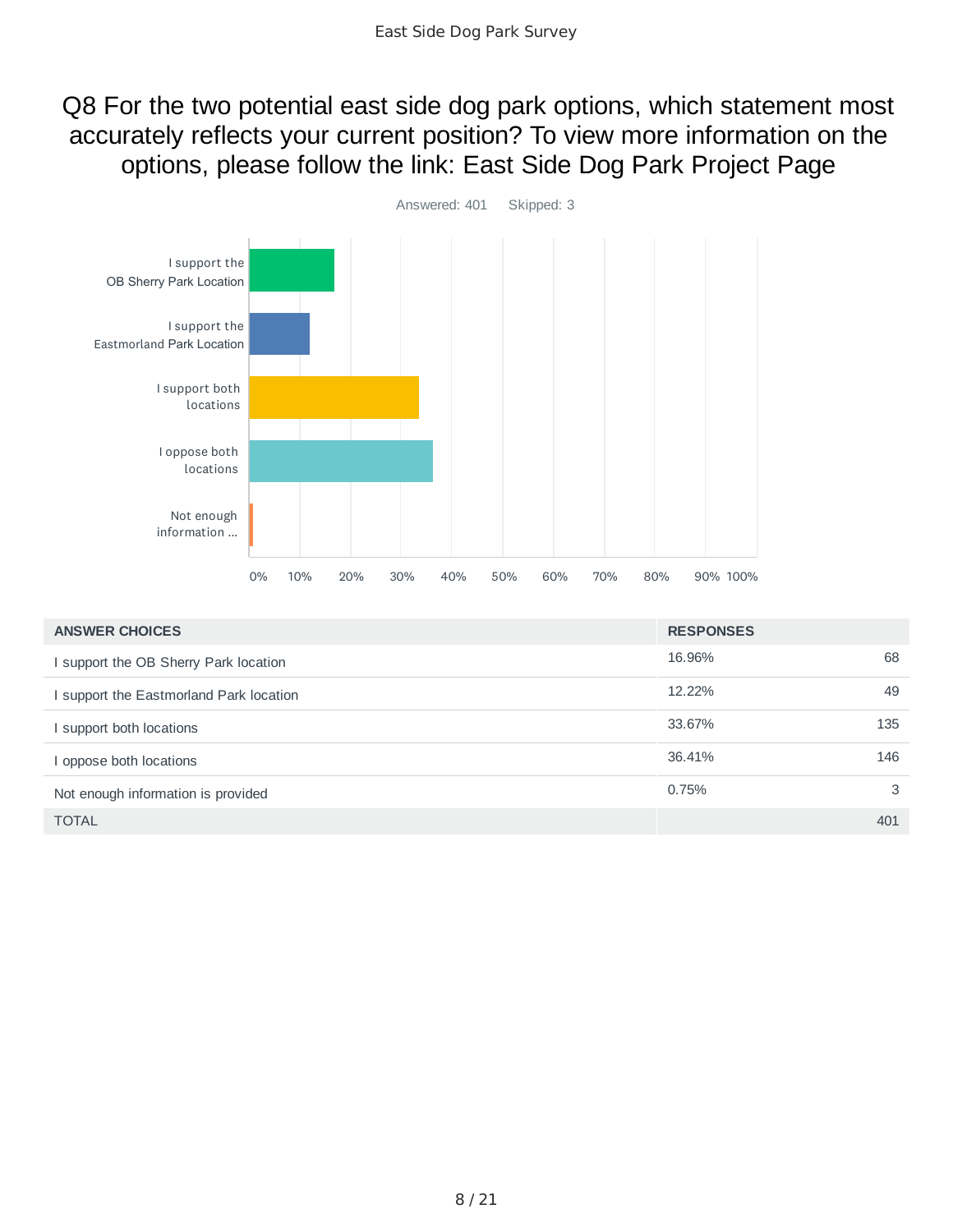Q8 For the two potential east side dog park options, which statement most accurately reflects your current position? To view more information on the options, please follow the link: East Side Dog Park Project Page



| <b>ANSWER CHOICES</b>                 | <b>RESPONSES</b> |     |
|---------------------------------------|------------------|-----|
| I support the OB Sherry Park location | 16.96%           | 68  |
| support the Eastmorland Park location | 12.22%           | 49  |
| I support both locations              | 33.67%           | 135 |
| oppose both locations                 | 36.41%           | 146 |
| Not enough information is provided    | 0.75%            | 3   |
| <b>TOTAL</b>                          |                  | 401 |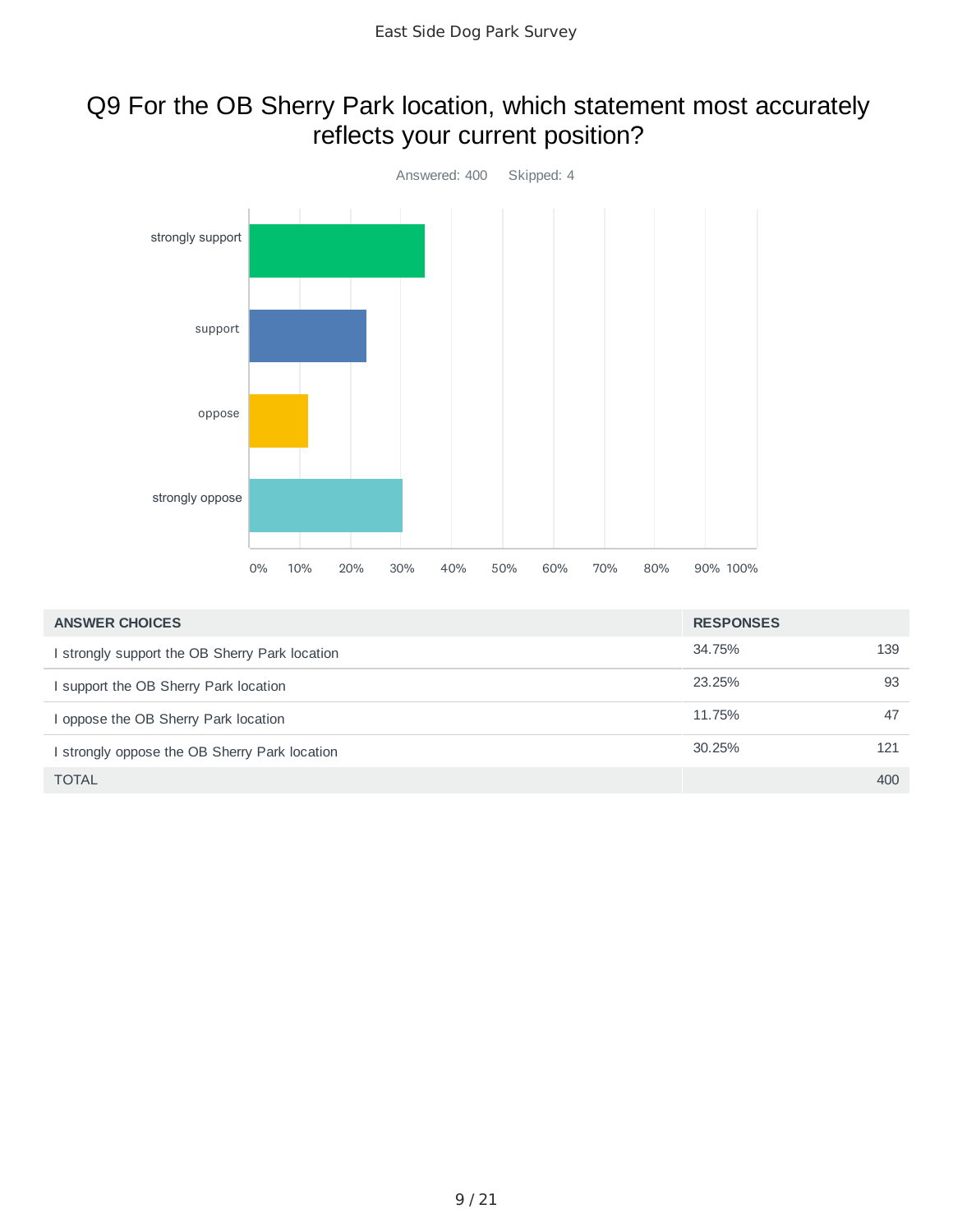### Q9 For the OB Sherry Park location, which statement most accurately reflects your current position?



| <b>ANSWER CHOICES</b>                          | <b>RESPONSES</b> |     |
|------------------------------------------------|------------------|-----|
| I strongly support the OB Sherry Park location | 34.75%           | 139 |
| I support the OB Sherry Park location          | 23.25%           | 93  |
| I oppose the OB Sherry Park location           | 11.75%           | 47  |
| I strongly oppose the OB Sherry Park location  | 30.25%           | 121 |
| <b>TOTAL</b>                                   |                  | 400 |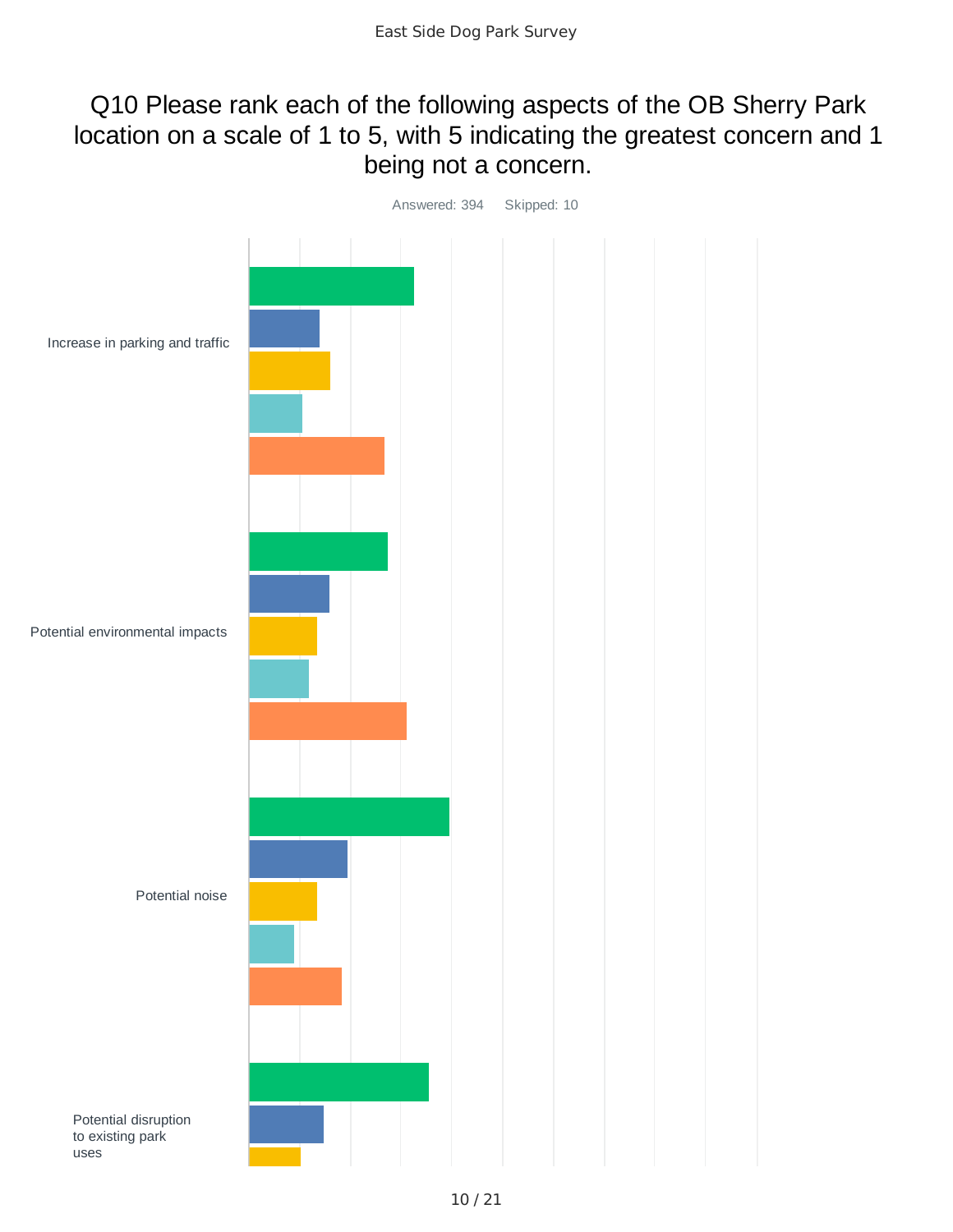### Q10 Please rank each of the following aspects of the OB Sherry Park location on a scale of 1 to 5, with 5 indicating the greatest concern and 1 being not a concern.

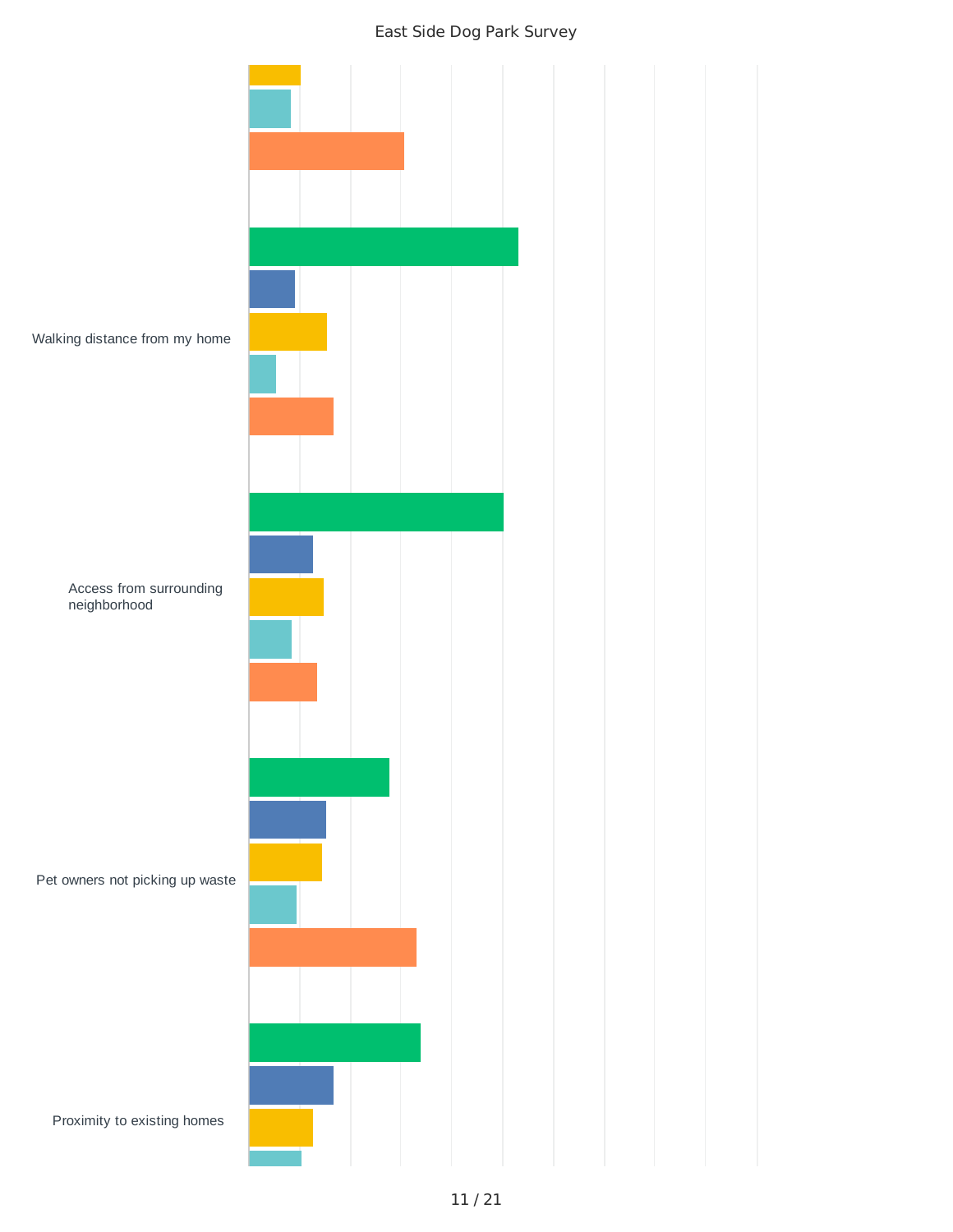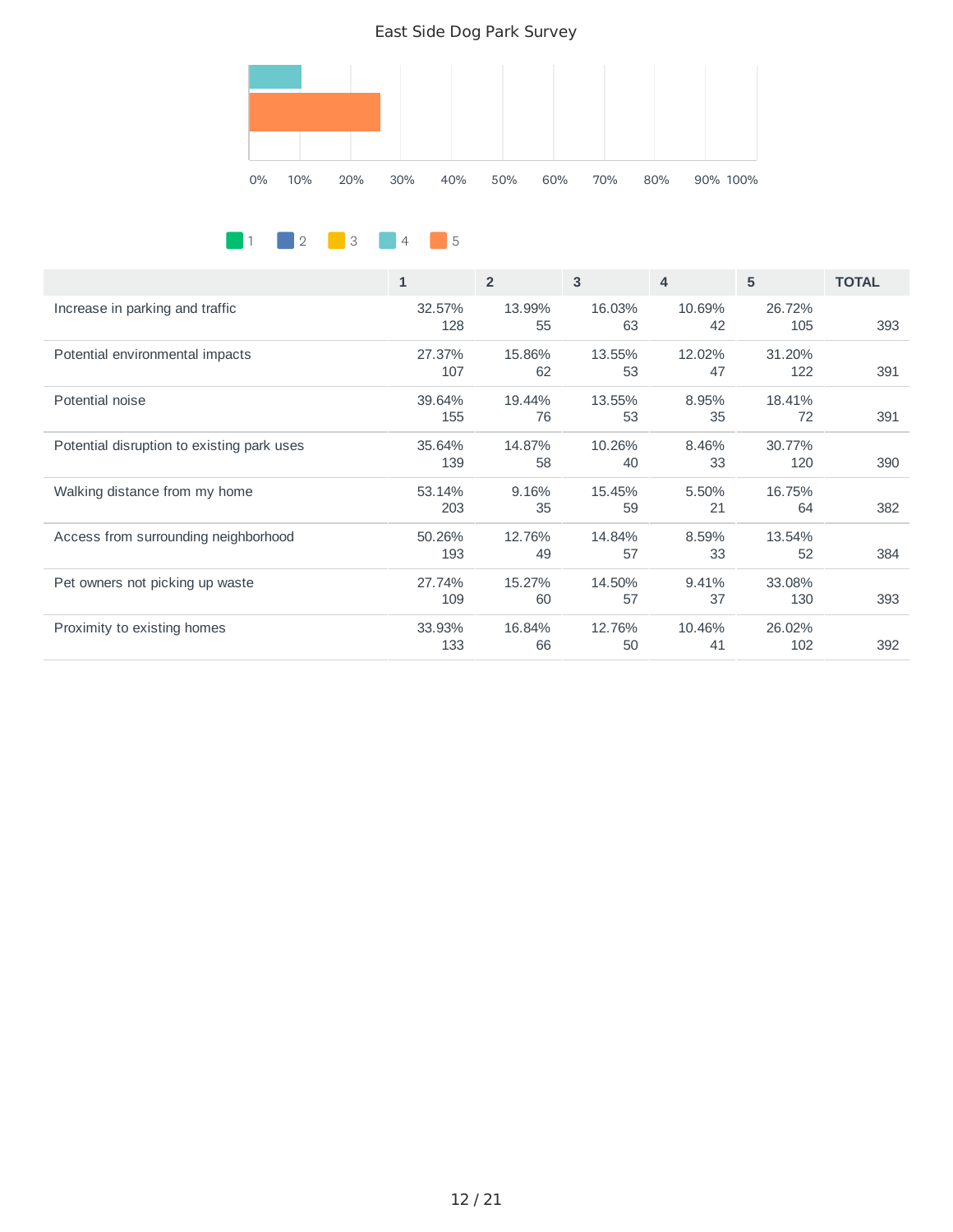

1 2 3 4 5

|                                            | $\mathbf{1}$ | $\overline{2}$ | 3      | $\overline{\mathbf{A}}$ | 5      | <b>TOTAL</b> |
|--------------------------------------------|--------------|----------------|--------|-------------------------|--------|--------------|
| Increase in parking and traffic            | 32.57%       | 13.99%         | 16.03% | 10.69%                  | 26.72% |              |
|                                            | 128          | 55             | 63     | 42                      | 105    | 393          |
| Potential environmental impacts            | 27.37%       | 15.86%         | 13.55% | 12.02%                  | 31.20% |              |
|                                            | 107          | 62             | 53     | 47                      | 122    | 391          |
| Potential noise                            | 39.64%       | 19.44%         | 13.55% | 8.95%                   | 18.41% |              |
|                                            | 155          | 76             | 53     | 35                      | 72     | 391          |
| Potential disruption to existing park uses | 35.64%       | 14.87%         | 10.26% | 8.46%                   | 30.77% |              |
|                                            | 139          | 58             | 40     | 33                      | 120    | 390          |
| Walking distance from my home              | 53.14%       | 9.16%          | 15.45% | 5.50%                   | 16.75% |              |
|                                            | 203          | 35             | 59     | 21                      | 64     | 382          |
| Access from surrounding neighborhood       | 50.26%       | 12.76%         | 14.84% | 8.59%                   | 13.54% |              |
|                                            | 193          | 49             | 57     | 33                      | 52     | 384          |
| Pet owners not picking up waste            | 27.74%       | 15.27%         | 14.50% | 9.41%                   | 33.08% |              |
|                                            | 109          | 60             | 57     | 37                      | 130    | 393          |
| Proximity to existing homes                | 33.93%       | 16.84%         | 12.76% | 10.46%                  | 26.02% |              |
|                                            | 133          | 66             | 50     | 41                      | 102    | 392          |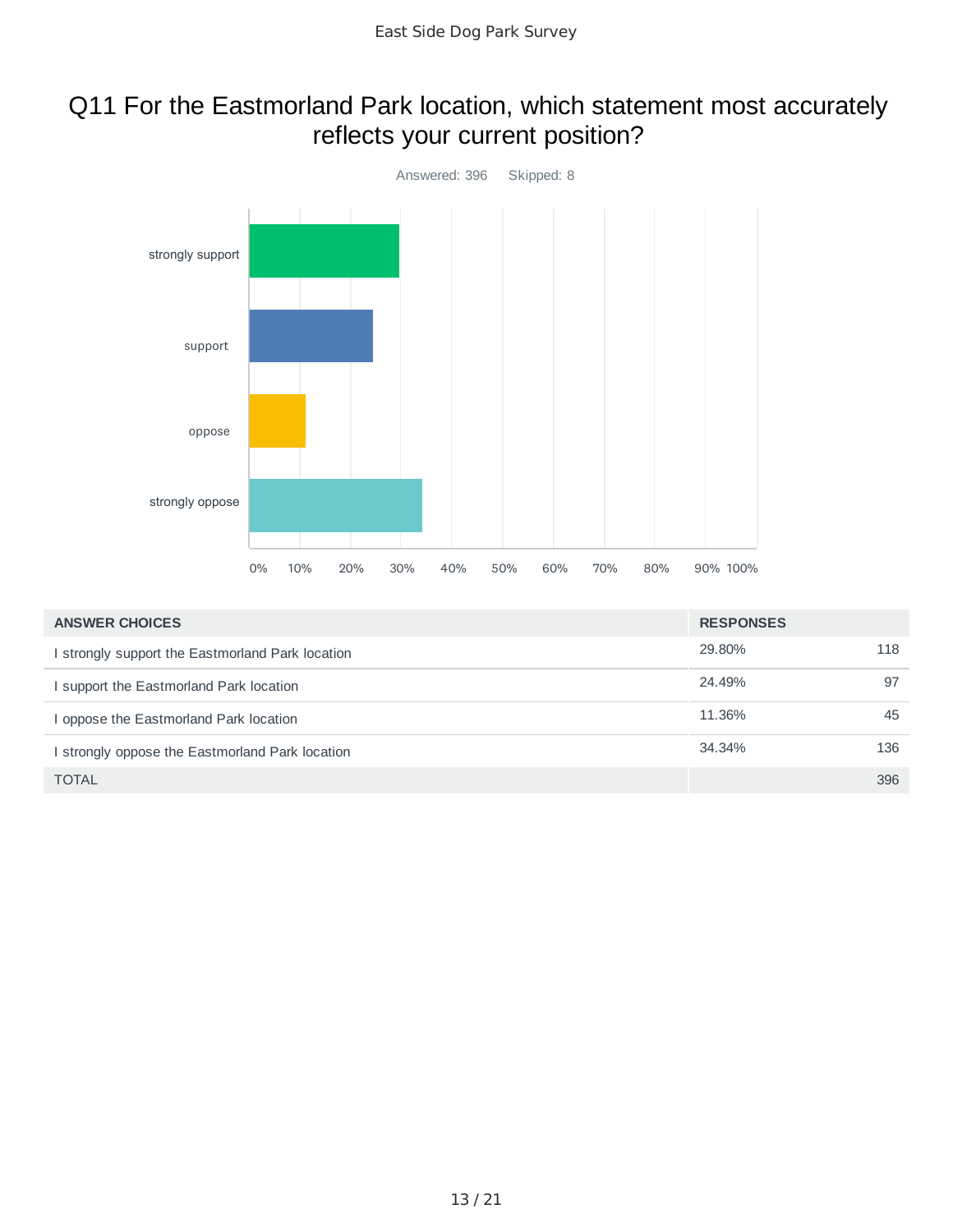### Q11 For the Eastmorland Park location, which statement most accurately reflects your current position?



| <b>ANSWER CHOICES</b>                            | <b>RESPONSES</b> |     |
|--------------------------------------------------|------------------|-----|
| I strongly support the Eastmorland Park location | 29.80%           | 118 |
| I support the Eastmorland Park location          | 24.49%           | 97  |
| I oppose the Eastmorland Park location           | 11.36%           | 45  |
| I strongly oppose the Eastmorland Park location  | 34.34%           | 136 |
| <b>TOTAL</b>                                     |                  | 396 |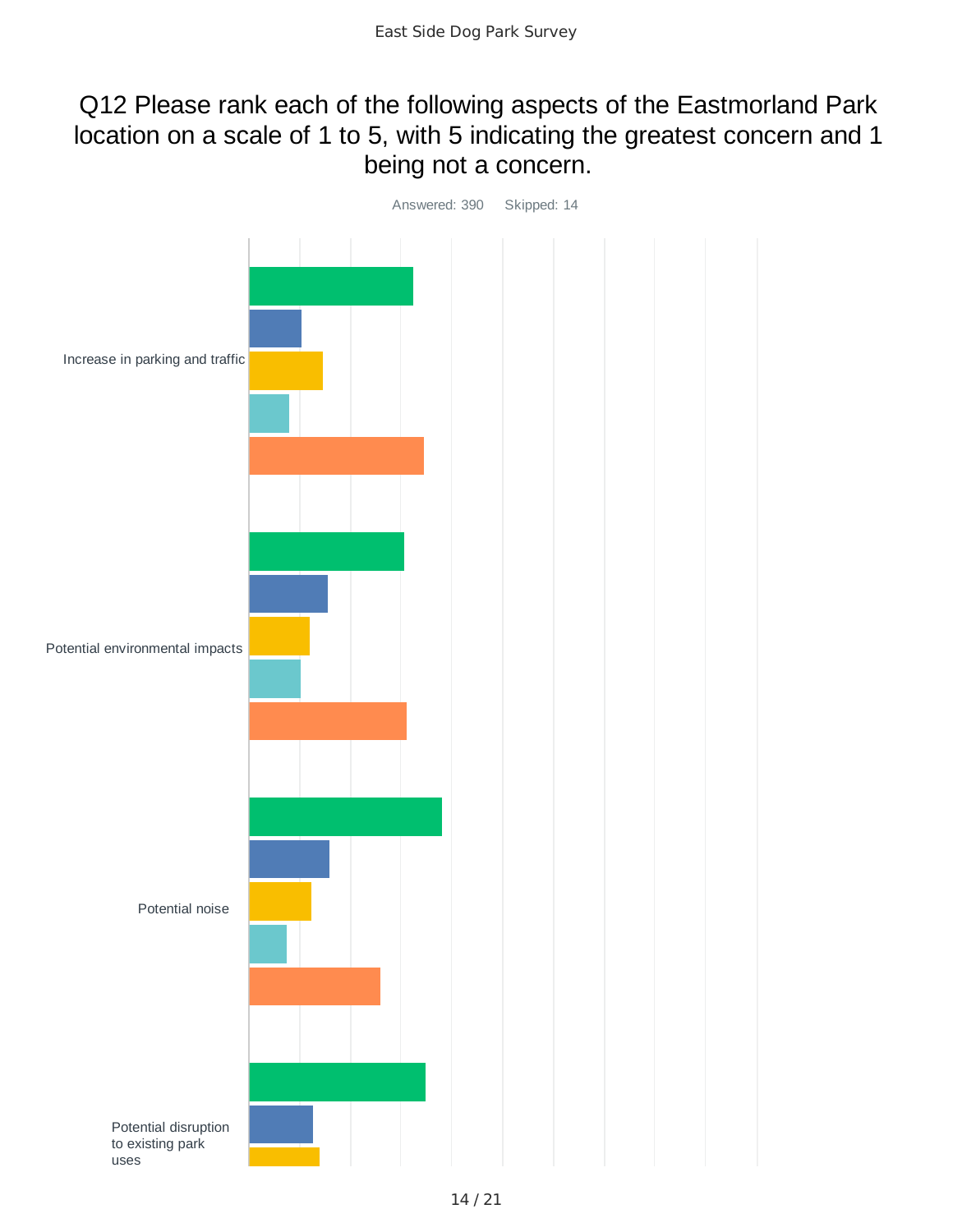### Q12 Please rank each of the following aspects of the Eastmorland Park location on a scale of 1 to 5, with 5 indicating the greatest concern and 1 being not a concern.

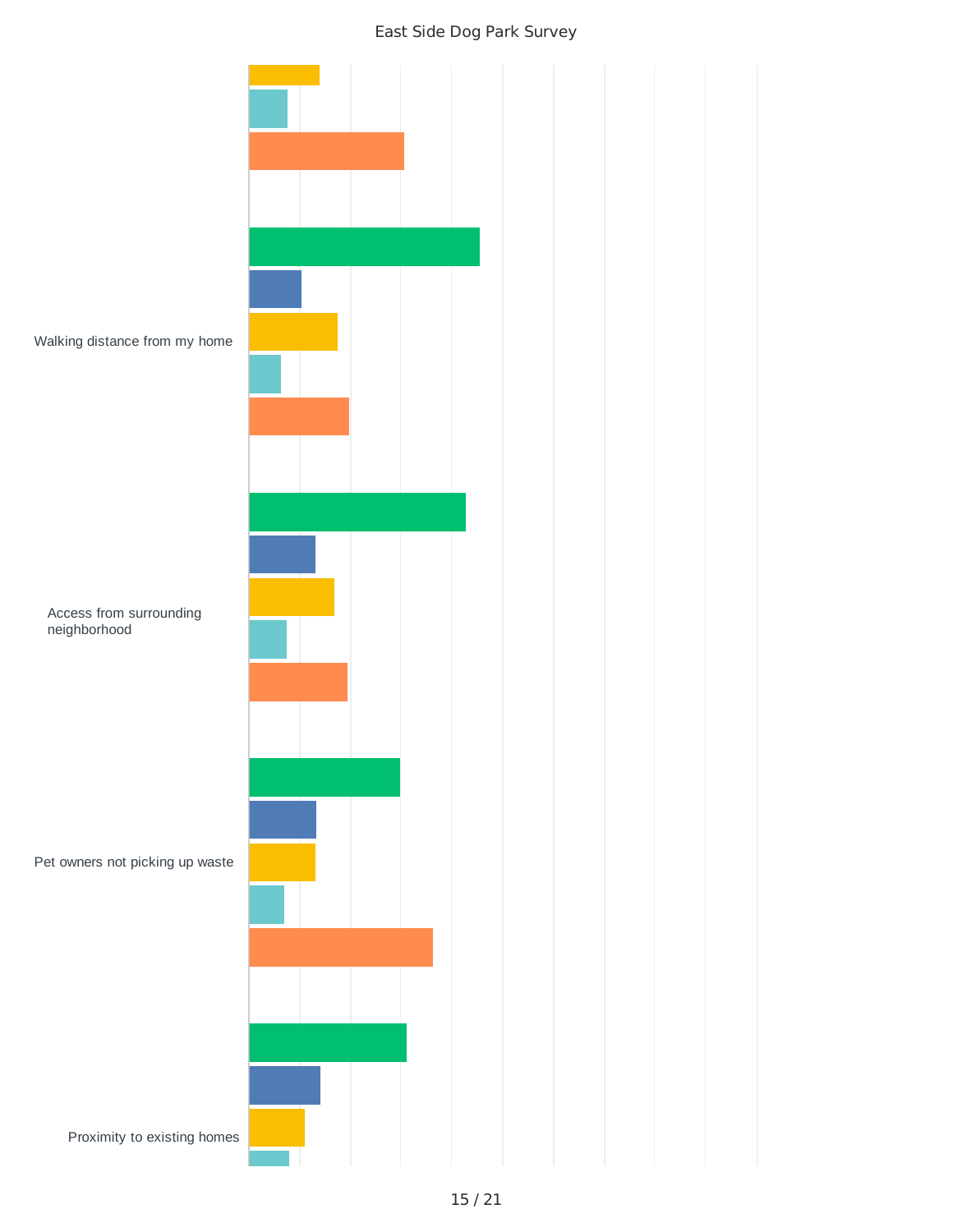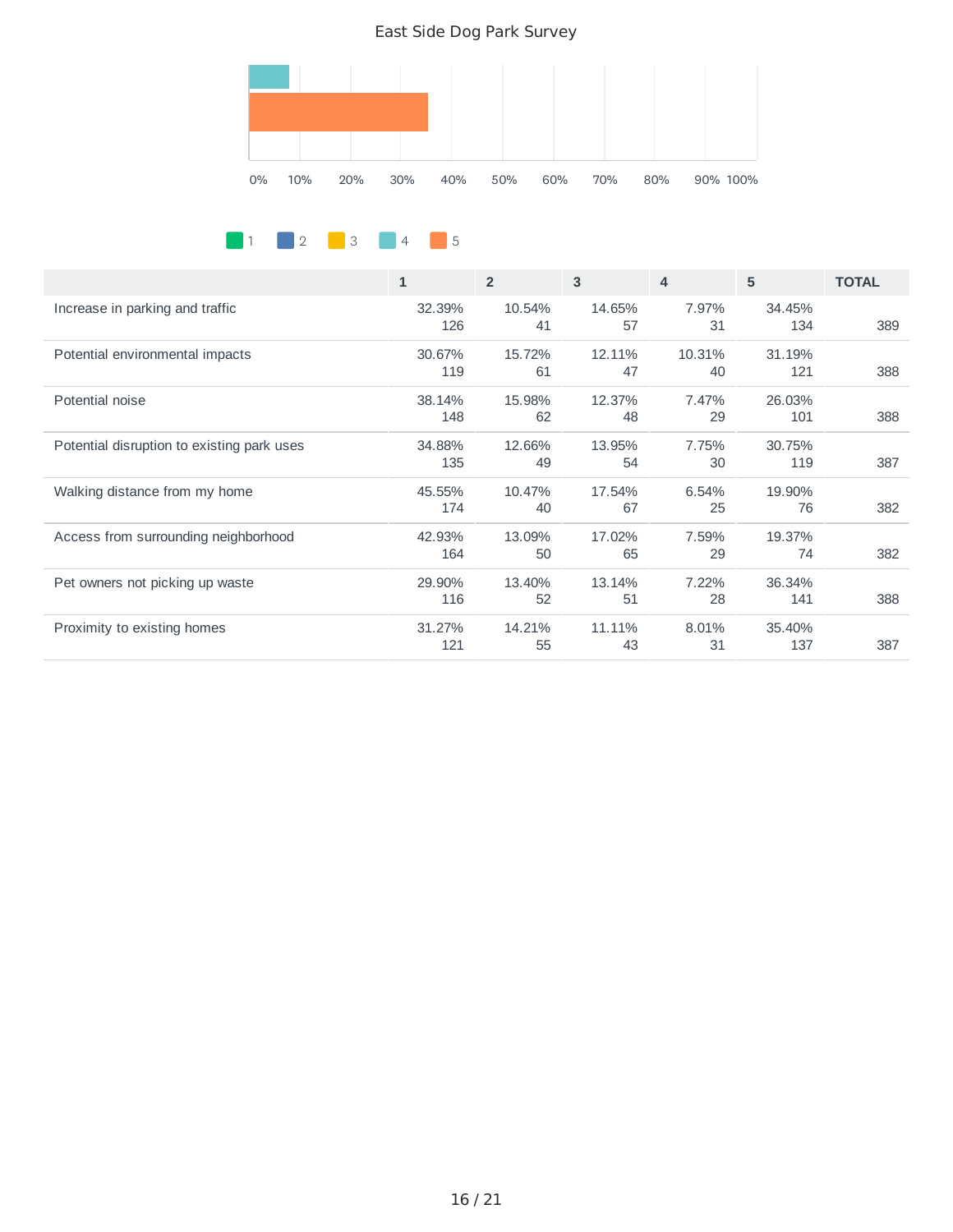

1 2 3 4 5

|                                            | $\mathbf{1}$  | $\overline{2}$ | 3            | 4            | 5             | <b>TOTAL</b> |
|--------------------------------------------|---------------|----------------|--------------|--------------|---------------|--------------|
| Increase in parking and traffic            | 32.39%<br>126 | 10.54%<br>41   | 14.65%<br>57 | 7.97%<br>31  | 34.45%<br>134 | 389          |
| Potential environmental impacts            | 30.67%<br>119 | 15.72%<br>61   | 12.11%<br>47 | 10.31%<br>40 | 31.19%<br>121 | 388          |
| Potential noise                            | 38.14%<br>148 | 15.98%<br>62   | 12.37%<br>48 | 7.47%<br>29  | 26.03%<br>101 | 388          |
| Potential disruption to existing park uses | 34.88%<br>135 | 12.66%<br>49   | 13.95%<br>54 | 7.75%<br>30  | 30.75%<br>119 | 387          |
| Walking distance from my home              | 45.55%<br>174 | 10.47%<br>40   | 17.54%<br>67 | 6.54%<br>25  | 19.90%<br>76  | 382          |
| Access from surrounding neighborhood       | 42.93%<br>164 | 13.09%<br>50   | 17.02%<br>65 | 7.59%<br>29  | 19.37%<br>74  | 382          |
| Pet owners not picking up waste            | 29.90%<br>116 | 13.40%<br>52   | 13.14%<br>51 | 7.22%<br>28  | 36.34%<br>141 | 388          |
| Proximity to existing homes                | 31.27%<br>121 | 14.21%<br>55   | 11.11%<br>43 | 8.01%<br>31  | 35.40%<br>137 | 387          |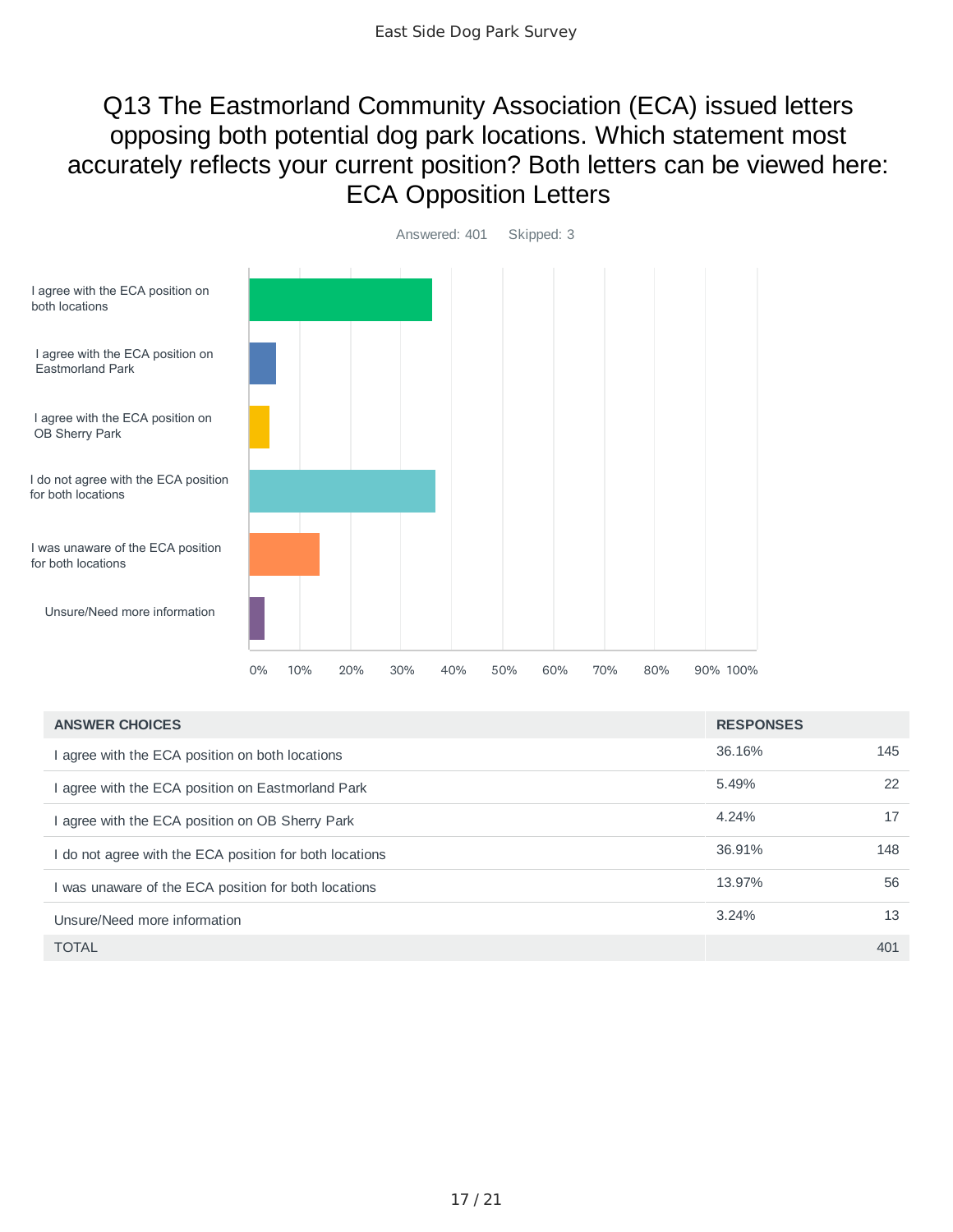### Q13 The Eastmorland Community Association (ECA) issued letters opposing both potential dog park locations. Which statement most accurately reflects your current position? Both letters can be viewed here: ECA Opposition Letters



| <b>ANSWER CHOICES</b>                                   | <b>RESPONSES</b> |     |
|---------------------------------------------------------|------------------|-----|
| agree with the ECA position on both locations           | 36.16%           | 145 |
| agree with the ECA position on Eastmorland Park         | 5.49%            | 22  |
| agree with the ECA position on OB Sherry Park           | 4.24%            | 17  |
| I do not agree with the ECA position for both locations | 36.91%           | 148 |
| I was unaware of the ECA position for both locations    | 13.97%           | 56  |
| Unsure/Need more information                            | 3.24%            | 13  |
| <b>TOTAL</b>                                            |                  | 401 |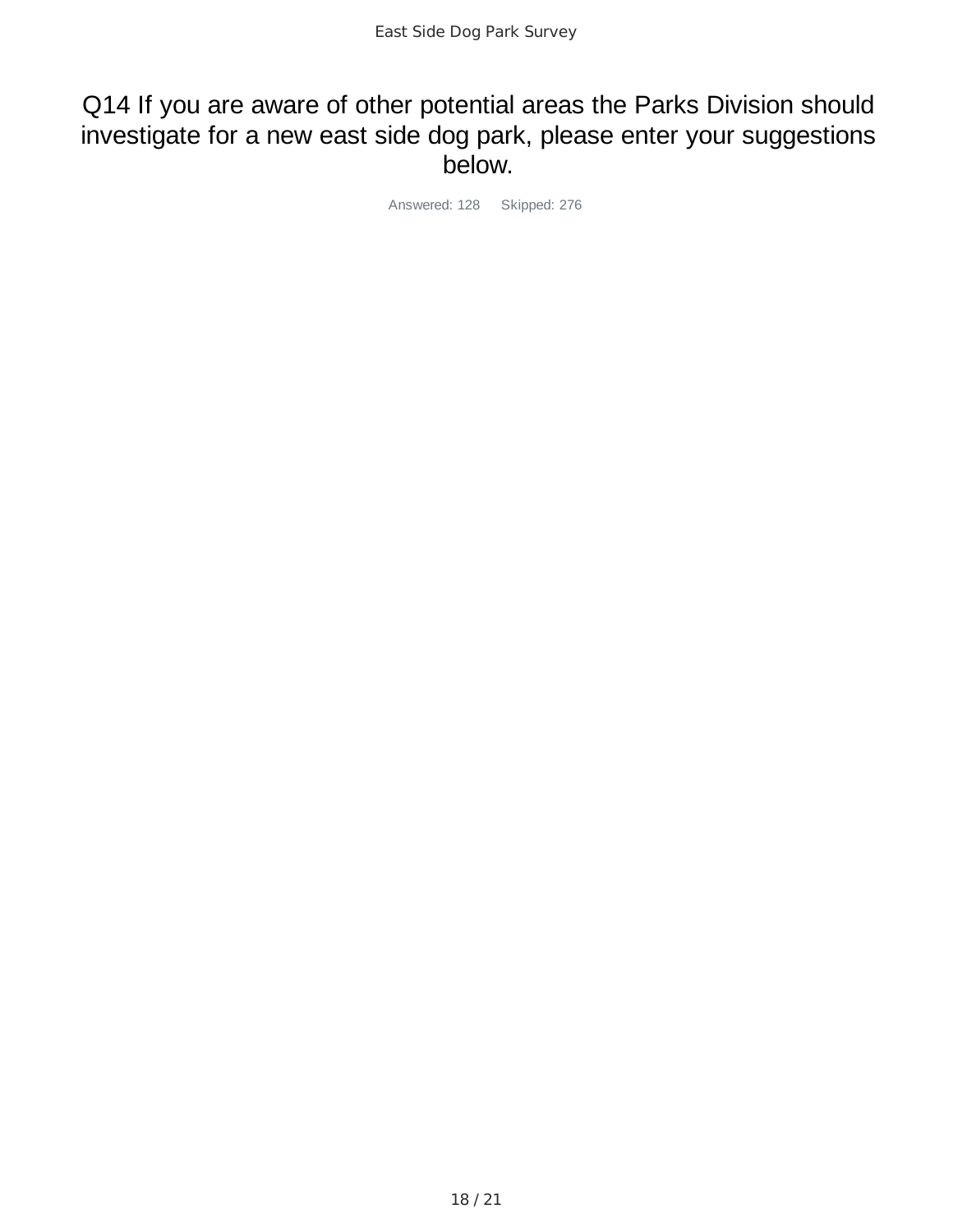#### Q14 If you are aware of other potential areas the Parks Division should investigate for a new east side dog park, please enter your suggestions below.

Answered: 128 Skipped: 276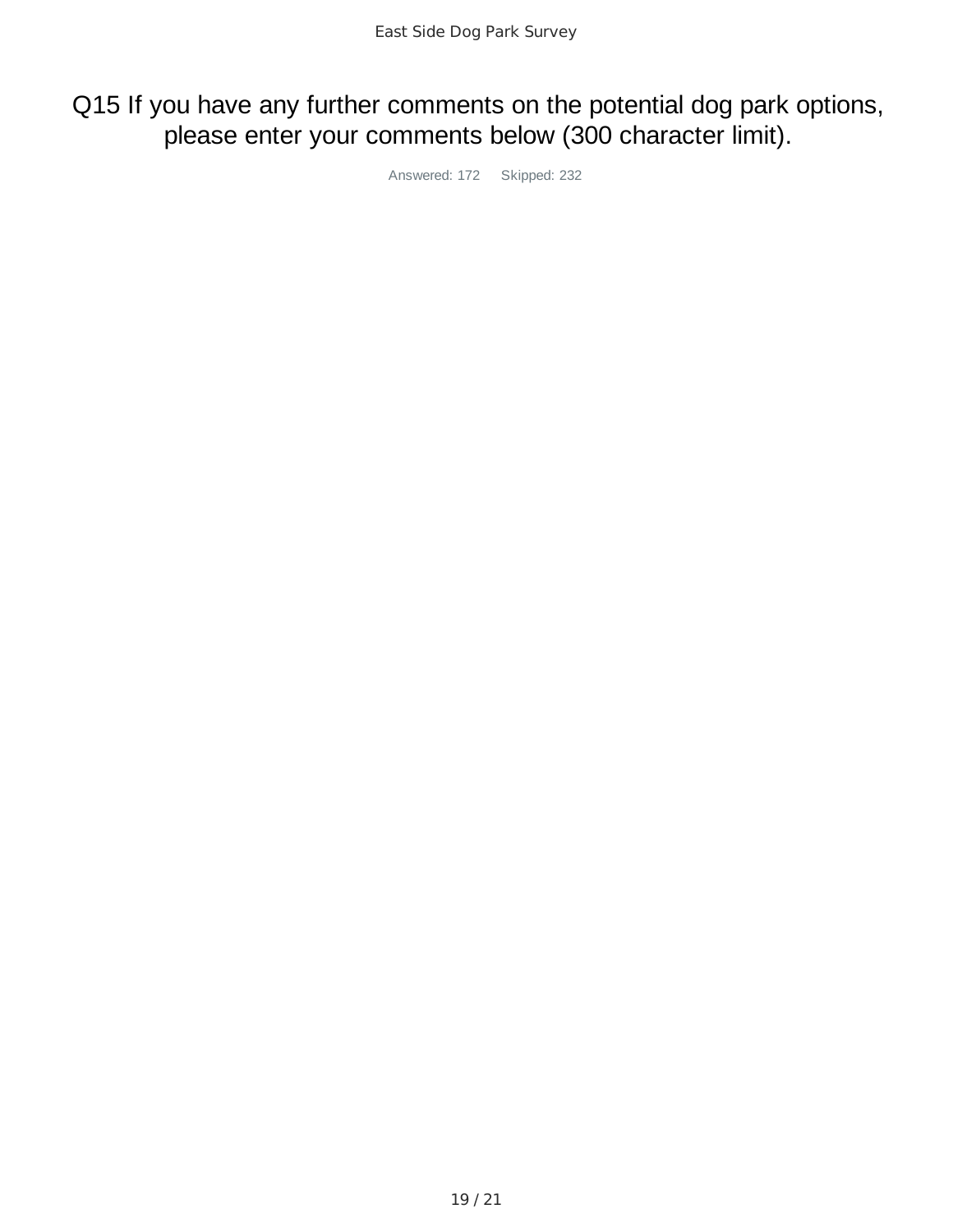## Q15 If you have any further comments on the potential dog park options, please enter your comments below (300 character limit).

Answered: 172 Skipped: 232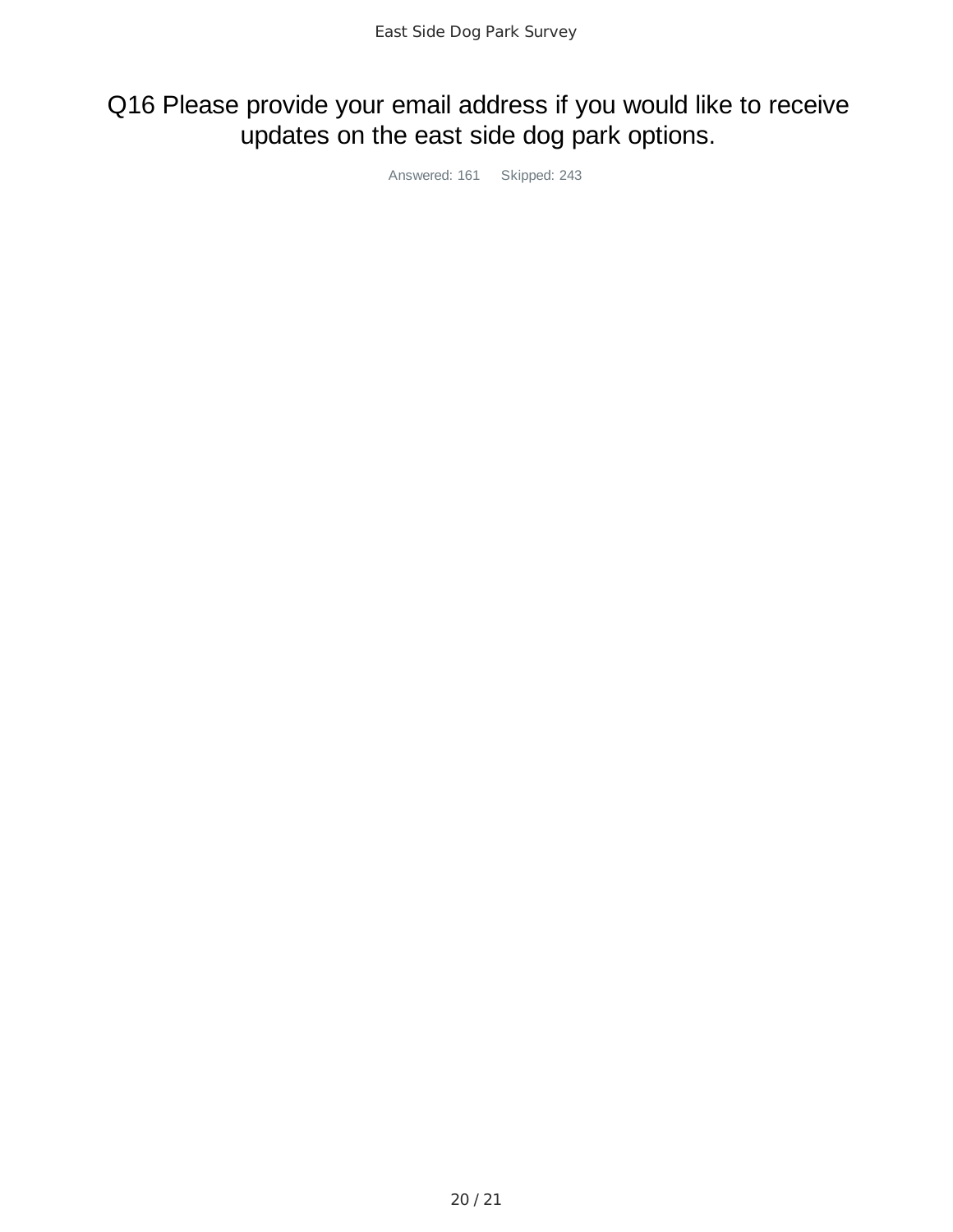# Q16 Please provide your email address if you would like to receive updates on the east side dog park options.

Answered: 161 Skipped: 243